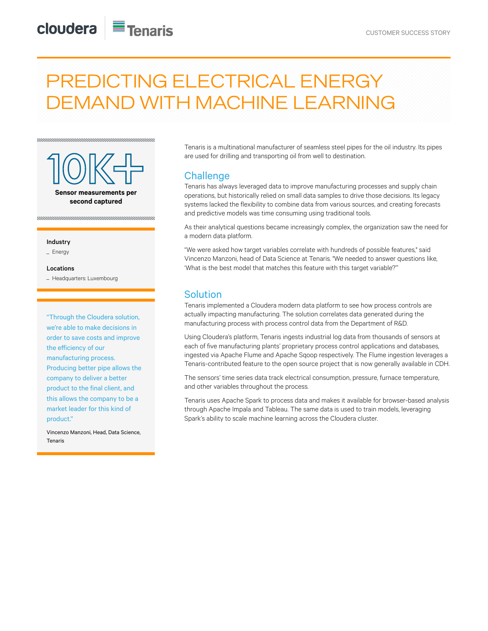# PREDICTING ELECTRICAL ENERGY DEMAND WITH MACHINE LEARNING



#### Industry

\_ Energy

#### Locations

\_ Headquarters: Luxembourg

"Through the Cloudera solution, we're able to make decisions in order to save costs and improve the efficiency of our manufacturing process. Producing better pipe allows the company to deliver a better product to the final client, and this allows the company to be a market leader for this kind of product."

Vincenzo Manzoni, Head, Data Science, Tenaris

Tenaris is a multinational manufacturer of seamless steel pipes for the oil industry. Its pipes are used for drilling and transporting oil from well to destination.

## **Challenge**

Tenaris has always leveraged data to improve manufacturing processes and supply chain operations, but historically relied on small data samples to drive those decisions. Its legacy systems lacked the flexibility to combine data from various sources, and creating forecasts and predictive models was time consuming using traditional tools.

As their analytical questions became increasingly complex, the organization saw the need for a modern data platform.

"We were asked how target variables correlate with hundreds of possible features," said Vincenzo Manzoni, head of Data Science at Tenaris. "We needed to answer questions like, 'What is the best model that matches this feature with this target variable?'"

## **Solution**

Tenaris implemented a Cloudera modern data platform to see how process controls are actually impacting manufacturing. The solution correlates data generated during the manufacturing process with process control data from the Department of R&D.

Using Cloudera's platform, Tenaris ingests industrial log data from thousands of sensors at each of five manufacturing plants' proprietary process control applications and databases, ingested via Apache Flume and Apache Sqoop respectively. The Flume ingestion leverages a Tenaris-contributed feature to the open source project that is now generally available in CDH.

The sensors' time series data track electrical consumption, pressure, furnace temperature, and other variables throughout the process.

Tenaris uses Apache Spark to process data and makes it available for browser-based analysis through Apache Impala and Tableau. The same data is used to train models, leveraging Spark's ability to scale machine learning across the Cloudera cluster.